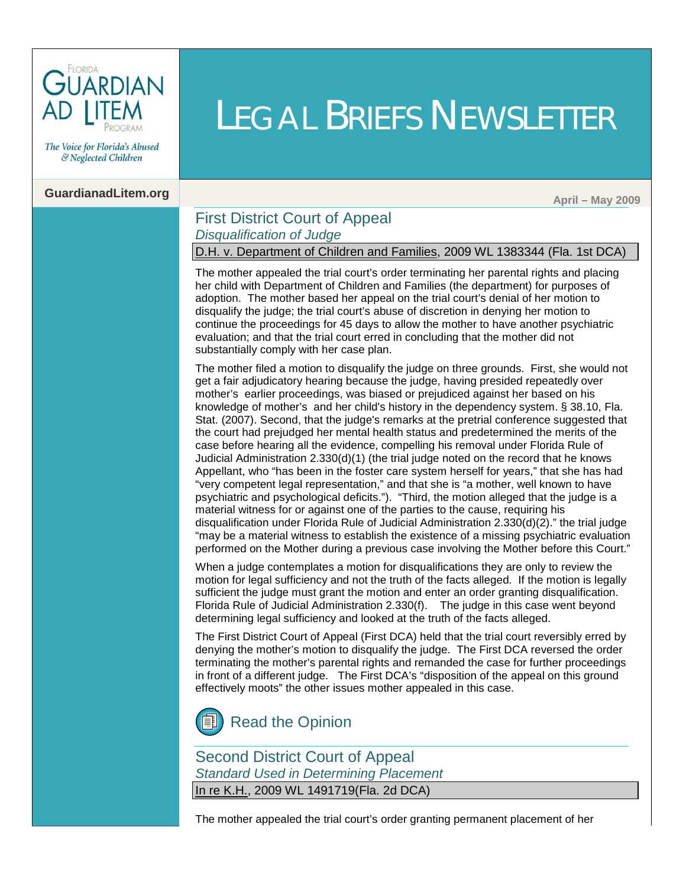

The Voice for Florida's Abused & Neglected Children

## **GuardianadLitem.org** April – May 2009

### First District Court of Appeal *Disqualification of Judge*

D.H. v. Department of Children and Families, 2009 WL 1383344 (Fla. 1st DCA)

LEGAL BRIEFS NEWSLETTER

The mother appealed the trial court's order terminating her parental rights and placing her child with Department of Children and Families (the department) for purposes of adoption. The mother based her appeal on the trial court's denial of her motion to disqualify the judge; the trial court's abuse of discretion in denying her motion to continue the proceedings for 45 days to allow the mother to have another psychiatric evaluation; and that the trial court erred in concluding that the mother did not substantially comply with her case plan.

The mother filed a motion to disqualify the judge on three grounds. First, she would not get a fair adjudicatory hearing because the judge, having presided repeatedly over mother's earlier proceedings, was biased or prejudiced against her based on his knowledge of mother's and her child's history in the dependency system. [§ 38.10, Fla.](http://www.leg.state.fl.us/Statutes/index.cfm?App_mode=Display_Statute&Search_String=&URL=Ch0038/SEC10.HTM&Title=->2008->Ch0038->Section%2010#0038.10)  [Stat. \(2007\). S](http://www.leg.state.fl.us/Statutes/index.cfm?App_mode=Display_Statute&Search_String=&URL=Ch0038/SEC10.HTM&Title=->2008->Ch0038->Section%2010#0038.10)econd, that the judge's remarks at the pretrial conference suggested that the court had prejudged her mental health status and predetermined the merits of the case before hearing all the evidence, compelling his removal under [Florida Rule of](http://www.floridabar.org/TFB/TFBResources.nsf/Attachments/F854D695BA7136B085257316005E7DE7/$FILE/Judicial.pdf?OpenElement)  [Judicial Administration 2.330\(d\)\(1\)](http://www.floridabar.org/TFB/TFBResources.nsf/Attachments/F854D695BA7136B085257316005E7DE7/$FILE/Judicial.pdf?OpenElement) (the trial judge noted on the record that he knows Appellant, who "has been in the foster care system herself for years," that she has had "very competent legal representation," and that she is "a mother, well known to have psychiatric and psychological deficits."). "Third, the motion alleged that the judge is a material witness for or against one of the parties to the cause, requiring his disqualification unde[r Florida Rule of Judicial Administration 2.330\(d\)\(2\)."](http://www.floridabar.org/TFB/TFBResources.nsf/Attachments/F854D695BA7136B085257316005E7DE7/$FILE/Judicial.pdf?OpenElement) the trial judge "may be a material witness to establish the existence of a missing psychiatric evaluation performed on the Mother during a previous case involving the Mother before this Court."

When a judge contemplates a motion for disqualifications they are only to review the motion for legal sufficiency and not the truth of the facts alleged. If the motion is legally sufficient the judge must grant the motion and enter an order granting disqualification. [Florida Rule of Judicial Administration 2.330\(f\).](http://www.floridabar.org/TFB/TFBResources.nsf/Attachments/F854D695BA7136B085257316005E7DE7/$FILE/Judicial.pdf?OpenElement) The judge in this case went beyond determining legal sufficiency and looked at the truth of the facts alleged.

The First District Court of Appeal (First DCA) held that the trial court reversibly erred by denying the mother's motion to disqualify the judge. The First DCA reversed the order terminating the mother's parental rights and remanded the case for further proceedings in front of a different judge. The First DCA's "disposition of the appeal on this ground effectively moots" the other issues mother appealed in this case.



Second District Court of Appeal *Standard Used in Determining Placement* In re K.H., 2009 WL 1491719(Fla. 2d DCA)

The mother appealed the trial court's order granting permanent placement of her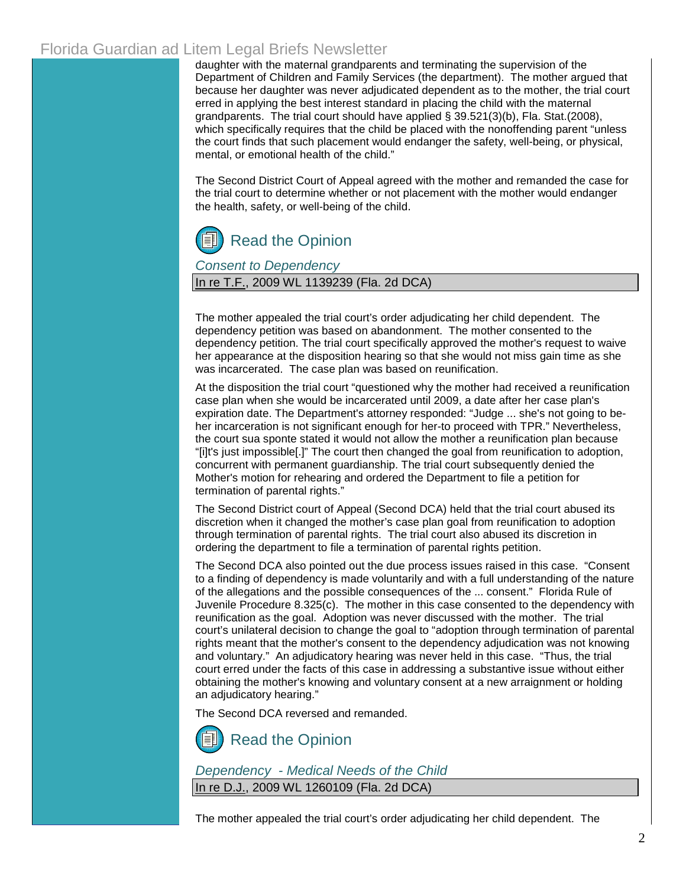daughter with the maternal grandparents and terminating the supervision of the Department of Children and Family Services (the department). The mother argued that because her daughter was never adjudicated dependent as to the mother, the trial court erred in applying the best interest standard in placing the child with the maternal grandparents. The trial court should have applied [§ 39.521\(3\)\(b\), Fla. Stat.\(2008\),](http://www.leg.state.fl.us/Statutes/index.cfm?App_mode=Display_Statute&Search_String=&URL=Ch0039/SEC521.HTM&Title=->2008->Ch0039->Section%20521#0039.521)  which specifically requires that the child be placed with the nonoffending parent "unless" the court finds that such placement would endanger the safety, well-being, or physical, mental, or emotional health of the child."

The Second District Court of Appeal agreed with the mother and remanded the case for the trial court to determine whether or not placement with the mother would endanger the health, safety, or well-being of the child.

# [Read the Opinion](http://www.2dca.org/opinions/Opinion_Pages/Opinion_Page_2009/May/May%2029,%202009/2D08-2555.pdf)

*Consent to Dependency*

In re T.F., 2009 WL 1139239 (Fla. 2d DCA)

The mother appealed the trial court's order adjudicating her child dependent. The dependency petition was based on abandonment. The mother consented to the dependency petition. The trial court specifically approved the mother's request to waive her appearance at the disposition hearing so that she would not miss gain time as she was incarcerated. The case plan was based on reunification.

At the disposition the trial court "questioned why the mother had received a reunification case plan when she would be incarcerated until 2009, a date after her case plan's expiration date. The Department's attorney responded: "Judge ... she's not going to beher incarceration is not significant enough for her-to proceed with TPR." Nevertheless, the court sua sponte stated it would not allow the mother a reunification plan because "[i]t's just impossible[.]" The court then changed the goal from reunification to adoption, concurrent with permanent guardianship. The trial court subsequently denied the Mother's motion for rehearing and ordered the Department to file a petition for termination of parental rights."

The Second District court of Appeal (Second DCA) held that the trial court abused its discretion when it changed the mother's case plan goal from reunification to adoption through termination of parental rights. The trial court also abused its discretion in ordering the department to file a termination of parental rights petition.

The Second DCA also pointed out the due process issues raised in this case. "Consent to a finding of dependency is made voluntarily and with a full understanding of the nature of the allegations and the possible consequences of the ... consent." [Florida Rule of](http://www.floridabar.org/TFB/TFBResources.nsf/Attachments/E2AD7DEF01F6F90685256B29004BFA7E/$FILE/Juvenile.pdf?OpenElement)  [Juvenile Procedure 8.325\(c\).](http://www.floridabar.org/TFB/TFBResources.nsf/Attachments/E2AD7DEF01F6F90685256B29004BFA7E/$FILE/Juvenile.pdf?OpenElement) The mother in this case consented to the dependency with reunification as the goal. Adoption was never discussed with the mother. The trial court's unilateral decision to change the goal to "adoption through termination of parental rights meant that the mother's consent to the dependency adjudication was not knowing and voluntary." An adjudicatory hearing was never held in this case. "Thus, the trial court erred under the facts of this case in addressing a substantive issue without either obtaining the mother's knowing and voluntary consent at a new arraignment or holding an adjudicatory hearing."

The Second DCA reversed and remanded.

[Read the Opinion](http://www.2dca.org/opinions/Opinion_Pages/Opinion_Page_2009/April/April%2029,%202009/2D08-1291.pdf)

*Dependency - Medical Needs of the Child* In re D.J., 2009 WL 1260109 (Fla. 2d DCA)

The mother appealed the trial court's order adjudicating her child dependent. The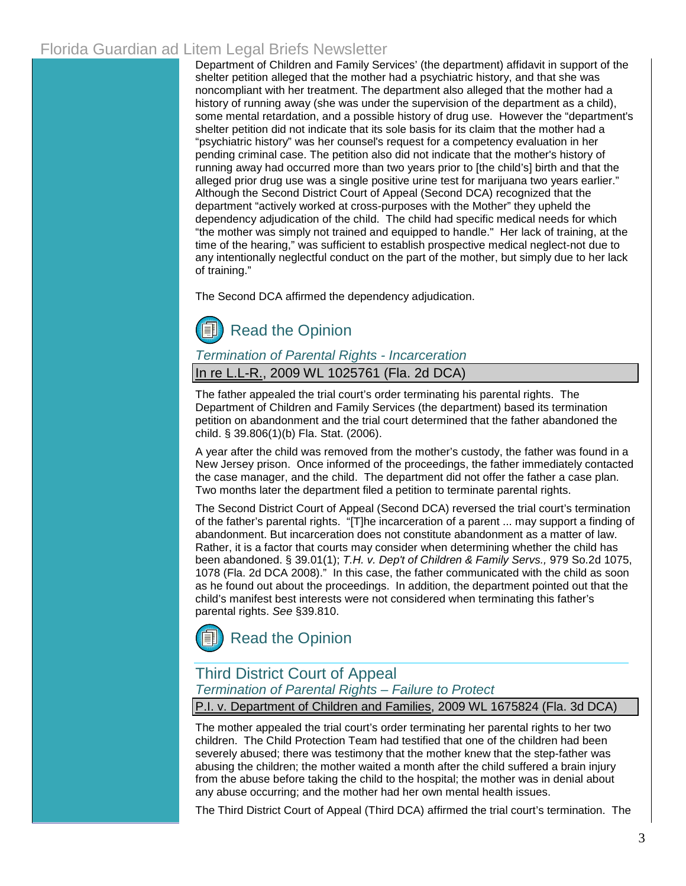Department of Children and Family Services' (the department) affidavit in support of the shelter petition alleged that the mother had a psychiatric history, and that she was noncompliant with her treatment. The department also alleged that the mother had a history of running away (she was under the supervision of the department as a child), some mental retardation, and a possible history of drug use. However the "department's shelter petition did not indicate that its sole basis for its claim that the mother had a "psychiatric history" was her counsel's request for a competency evaluation in her pending criminal case. The petition also did not indicate that the mother's history of running away had occurred more than two years prior to [the child's] birth and that the alleged prior drug use was a single positive urine test for marijuana two years earlier." Although the Second District Court of Appeal (Second DCA) recognized that the department "actively worked at cross-purposes with the Mother" they upheld the dependency adjudication of the child. The child had specific medical needs for which "the mother was simply not trained and equipped to handle." Her lack of training, at the time of the hearing," was sufficient to establish prospective medical neglect-not due to any intentionally neglectful conduct on the part of the mother, but simply due to her lack of training."

The Second DCA affirmed the dependency adjudication.

# [Read the Opinion](http://www.2dca.org/opinions/Opinion_Pages/Opinion_Page_2009/May/May%2008,%202009/2D08-793.pdf)

#### *Termination of Parental Rights - Incarceration*

In re L.L-R., 2009 WL 1025761 (Fla. 2d DCA)

The father appealed the trial court's order terminating his parental rights. The Department of Children and Family Services (the department) based its termination petition on abandonment and the trial court determined that the father abandoned the child. § [39.806\(1\)\(b\) Fla. Stat. \(2006\).](http://www.leg.state.fl.us/Statutes/index.cfm?App_mode=Display_Statute&Search_String=&URL=Ch0039/SEC806.HTM&Title=->2006->Ch0039->Section%20806#0039.806)

A year after the child was removed from the mother's custody, the father was found in a New Jersey prison. Once informed of the proceedings, the father immediately contacted the case manager, and the child. The department did not offer the father a case plan. Two months later the department filed a petition to terminate parental rights.

The Second District Court of Appeal (Second DCA) reversed the trial court's termination of the father's parental rights. "[T]he incarceration of a parent ... may support a finding of abandonment. But incarceration does not constitute abandonment as a matter of law. Rather, it is a factor that courts may consider when determining whether the child has been abandoned[. § 39.01\(1\);](http://www.leg.state.fl.us/Statutes/index.cfm?App_mode=Display_Statute&Search_String=&URL=Ch0039/SEC01.HTM&Title=->2006->Ch0039->Section%2001#0039.01) *[T.H. v. Dep't of Children & Family Servs.,](http://www.2dca.org/opinion/April 04, 2008/2D07-2869.pdf)* 979 So.2d 1075, [1078 \(Fla. 2d DCA 2008\)."](http://www.2dca.org/opinion/April 04, 2008/2D07-2869.pdf) In this case, the father communicated with the child as soon as he found out about the proceedings. In addition, the department pointed out that the child's manifest best interests were not considered when terminating this father's parental rights. *See* [§39.810.](http://www.leg.state.fl.us/Statutes/index.cfm?App_mode=Display_Statute&Search_String=&URL=Ch0039/SEC810.HTM&Title=->2006->Ch0039->Section%20810#0039.810)



# Third District Court of Appeal

*Termination of Parental Rights – Failure to Protect*

P.I. v. Department of Children and Families, 2009 WL 1675824 (Fla. 3d DCA)

The mother appealed the trial court's order terminating her parental rights to her two children. The Child Protection Team had testified that one of the children had been severely abused; there was testimony that the mother knew that the step-father was abusing the children; the mother waited a month after the child suffered a brain injury from the abuse before taking the child to the hospital; the mother was in denial about any abuse occurring; and the mother had her own mental health issues.

The Third District Court of Appeal (Third DCA) affirmed the trial court's termination. The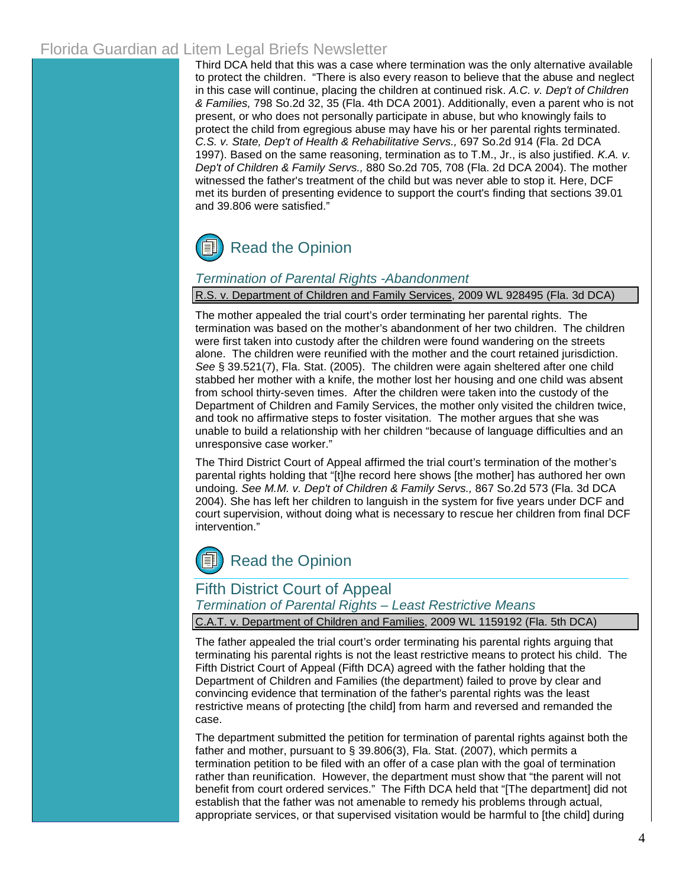Third DCA held that this was a case where termination was the only alternative available to protect the children. "There is also every reason to believe that the abuse and neglect in this case will continue, placing the children at continued risk. *A.C. v. Dep't of Children & Families,* 798 So.2d 32, 35 (Fla. 4th DCA 2001). Additionally, even a parent who is not present, or who does not personally participate in abuse, but who knowingly fails to protect the child from egregious abuse may have his or her parental rights terminated. *C.S. v. State, Dep't of Health & Rehabilitative Servs.,* 697 So.2d 914 (Fla. 2d DCA 1997). Based on the same reasoning, termination as to T.M., Jr., is also justified. *K.A. v. Dep't of Children & Family Servs.,* 880 So.2d 705, 708 (Fla. 2d DCA 2004). The mother witnessed the father's treatment of the child but was never able to stop it. Here, DCF met its burden of presenting evidence to support the court's finding that sections [39.01](http://www.leg.state.fl.us/Statutes/index.cfm?App_mode=Display_Statute&Search_String=&URL=Ch0039/SEC01.HTM&Title=->2006->Ch0039->Section%2001#0039.01) and [39.806](http://www.leg.state.fl.us/Statutes/index.cfm?App_mode=Display_Statute&Search_String=&URL=Ch0039/SEC806.HTM&Title=->2006->Ch0039->Section%20806#0039.806) were satisfied."

# [Read the Opinion](http://www.3dca.flcourts.org/Opinions/3D08-2831.pdf)

#### *Termination of Parental Rights -Abandonment*

#### R.S. v. Department of Children and Family Services, 2009 WL 928495 (Fla. 3d DCA)

The mother appealed the trial court's order terminating her parental rights. The termination was based on the mother's abandonment of her two children. The children were first taken into custody after the children were found wandering on the streets alone. The children were reunified with the mother and the court retained jurisdiction. *See* [§ 39.521\(7\), Fla. Stat. \(2005\).](http://www.leg.state.fl.us/Statutes/index.cfm?App_mode=Display_Statute&Search_String=&URL=Ch0039/SEC521.HTM&Title=->2005->Ch0039->Section%20521#0039.521) The children were again sheltered after one child stabbed her mother with a knife, the mother lost her housing and one child was absent from school thirty-seven times. After the children were taken into the custody of the Department of Children and Family Services, the mother only visited the children twice, and took no affirmative steps to foster visitation. The mother argues that she was unable to build a relationship with her children "because of language difficulties and an unresponsive case worker."

The Third District Court of Appeal affirmed the trial court's termination of the mother's parental rights holding that "[t]he record here shows [the mother] has authored her own undoing. *See M.M. v. Dep't of Children & Family Servs.,* 867 So.2d 573 (Fla. 3d DCA 2004). She has left her children to languish in the system for five years under DCF and court supervision, without doing what is necessary to rescue her children from final DCF intervention."

# [Read the Opinion](http://www.3dca.flcourts.org/Opinions/3D08-0701.pdf)

### Fifth District Court of Appeal

*Termination of Parental Rights – Least Restrictive Means*

C.A.T. v. Department of Children and Families, 2009 WL 1159192 (Fla. 5th DCA)

The father appealed the trial court's order terminating his parental rights arguing that terminating his parental rights is not the least restrictive means to protect his child. The Fifth District Court of Appeal (Fifth DCA) agreed with the father holding that the Department of Children and Families (the department) failed to prove by clear and convincing evidence that termination of the father's parental rights was the least restrictive means of protecting [the child] from harm and reversed and remanded the case.

The department submitted the petition for termination of parental rights against both the father and mother, pursuant to § [39.806\(3\), Fla. Stat.](http://www.leg.state.fl.us/Statutes/index.cfm?App_mode=Display_Statute&Search_String=&URL=Ch0039/SEC806.HTM&Title=->2006->Ch0039->Section%20806#0039.806) (2007), which permits a termination petition to be filed with an offer of a case plan with the goal of termination rather than reunification. However, the department must show that "the parent will not benefit from court ordered services." The Fifth DCA held that "[The department] did not establish that the father was not amenable to remedy his problems through actual, appropriate services, or that supervised visitation would be harmful to [the child] during